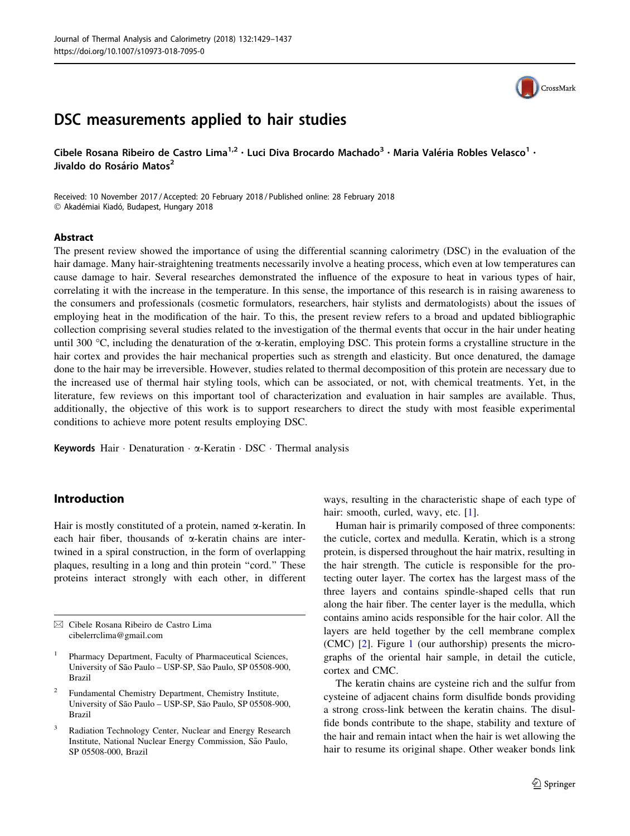# DSC measurements applied to hair studies

Cibele Rosana Ribeiro de Castro Lima<sup>1,2</sup> · Luci Diva Brocardo Machado<sup>3</sup> · Maria Valéria Robles Velasco<sup>1</sup> · Jivaldo do Rosário Matos<sup>2</sup>

Received: 10 November 2017 / Accepted: 20 February 2018 / Published online: 28 February 2018 © Akadémiai Kiadó, Budapest, Hungary 2018

#### Abstract

The present review showed the importance of using the differential scanning calorimetry (DSC) in the evaluation of the hair damage. Many hair-straightening treatments necessarily involve a heating process, which even at low temperatures can cause damage to hair. Several researches demonstrated the influence of the exposure to heat in various types of hair, correlating it with the increase in the temperature. In this sense, the importance of this research is in raising awareness to the consumers and professionals (cosmetic formulators, researchers, hair stylists and dermatologists) about the issues of employing heat in the modification of the hair. To this, the present review refers to a broad and updated bibliographic collection comprising several studies related to the investigation of the thermal events that occur in the hair under heating until 300  $\degree$ C, including the denaturation of the  $\alpha$ -keratin, employing DSC. This protein forms a crystalline structure in the hair cortex and provides the hair mechanical properties such as strength and elasticity. But once denatured, the damage done to the hair may be irreversible. However, studies related to thermal decomposition of this protein are necessary due to the increased use of thermal hair styling tools, which can be associated, or not, with chemical treatments. Yet, in the literature, few reviews on this important tool of characterization and evaluation in hair samples are available. Thus, additionally, the objective of this work is to support researchers to direct the study with most feasible experimental conditions to achieve more potent results employing DSC.

Keywords Hair · Denaturation ·  $\alpha$ -Keratin · DSC · Thermal analysis

# Introduction

Hair is mostly constituted of a protein, named  $\alpha$ -keratin. In each hair fiber, thousands of  $\alpha$ -keratin chains are intertwined in a spiral construction, in the form of overlapping plaques, resulting in a long and thin protein ''cord.'' These proteins interact strongly with each other, in different

& Cibele Rosana Ribeiro de Castro Lima cibelerrclima@gmail.com

- Pharmacy Department, Faculty of Pharmaceutical Sciences, University of São Paulo - USP-SP, São Paulo, SP 05508-900, Brazil
- <sup>2</sup> Fundamental Chemistry Department, Chemistry Institute, University of São Paulo – USP-SP, São Paulo, SP 05508-900, Brazil
- Radiation Technology Center, Nuclear and Energy Research Institute, National Nuclear Energy Commission, São Paulo, SP 05508-000, Brazil

ways, resulting in the characteristic shape of each type of hair: smooth, curled, wavy, etc. [\[1](#page-7-0)].

Human hair is primarily composed of three components: the cuticle, cortex and medulla. Keratin, which is a strong protein, is dispersed throughout the hair matrix, resulting in the hair strength. The cuticle is responsible for the protecting outer layer. The cortex has the largest mass of the three layers and contains spindle-shaped cells that run along the hair fiber. The center layer is the medulla, which contains amino acids responsible for the hair color. All the layers are held together by the cell membrane complex (CMC) [\[2](#page-7-0)]. Figure [1](#page-1-0) (our authorship) presents the micrographs of the oriental hair sample, in detail the cuticle, cortex and CMC.

The keratin chains are cysteine rich and the sulfur from cysteine of adjacent chains form disulfide bonds providing a strong cross-link between the keratin chains. The disulfide bonds contribute to the shape, stability and texture of the hair and remain intact when the hair is wet allowing the hair to resume its original shape. Other weaker bonds link

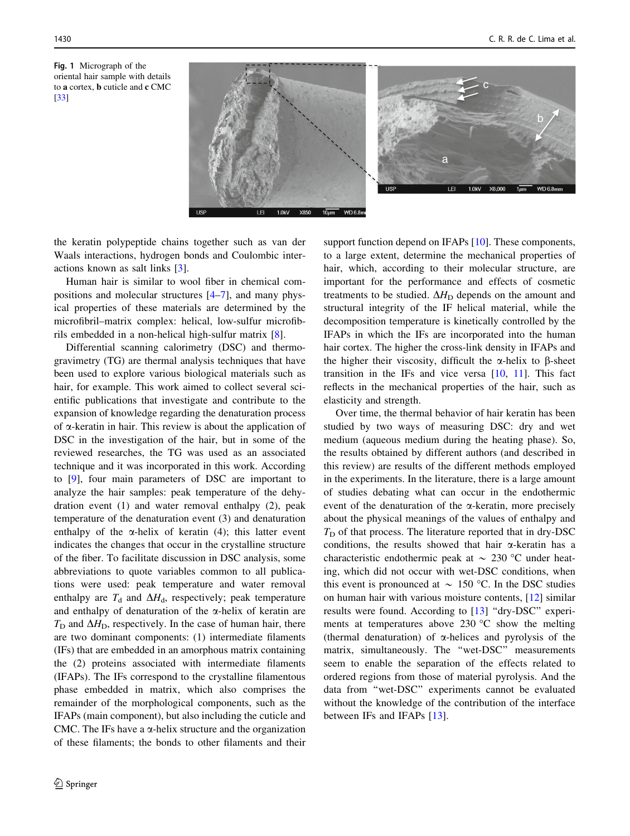<span id="page-1-0"></span>Fig. 1 Micrograph of the oriental hair sample with details to a cortex, b cuticle and c CMC [[33](#page-7-0)]



the keratin polypeptide chains together such as van der Waals interactions, hydrogen bonds and Coulombic interactions known as salt links [\[3](#page-7-0)].

Human hair is similar to wool fiber in chemical compositions and molecular structures [[4–7\]](#page-7-0), and many physical properties of these materials are determined by the microfibril–matrix complex: helical, low-sulfur microfibrils embedded in a non-helical high-sulfur matrix [[8\]](#page-7-0).

Differential scanning calorimetry (DSC) and thermogravimetry (TG) are thermal analysis techniques that have been used to explore various biological materials such as hair, for example. This work aimed to collect several scientific publications that investigate and contribute to the expansion of knowledge regarding the denaturation process of  $\alpha$ -keratin in hair. This review is about the application of DSC in the investigation of the hair, but in some of the reviewed researches, the TG was used as an associated technique and it was incorporated in this work. According to [[9\]](#page-7-0), four main parameters of DSC are important to analyze the hair samples: peak temperature of the dehydration event (1) and water removal enthalpy (2), peak temperature of the denaturation event (3) and denaturation enthalpy of the  $\alpha$ -helix of keratin (4); this latter event indicates the changes that occur in the crystalline structure of the fiber. To facilitate discussion in DSC analysis, some abbreviations to quote variables common to all publications were used: peak temperature and water removal enthalpy are  $T_d$  and  $\Delta H_d$ , respectively; peak temperature and enthalpy of denaturation of the  $\alpha$ -helix of keratin are  $T_D$  and  $\Delta H_D$ , respectively. In the case of human hair, there are two dominant components: (1) intermediate filaments (IFs) that are embedded in an amorphous matrix containing the (2) proteins associated with intermediate filaments (IFAPs). The IFs correspond to the crystalline filamentous phase embedded in matrix, which also comprises the remainder of the morphological components, such as the IFAPs (main component), but also including the cuticle and CMC. The IFs have a  $\alpha$ -helix structure and the organization of these filaments; the bonds to other filaments and their support function depend on IFAPs [[10\]](#page-7-0). These components, to a large extent, determine the mechanical properties of hair, which, according to their molecular structure, are important for the performance and effects of cosmetic treatments to be studied.  $\Delta H_D$  depends on the amount and structural integrity of the IF helical material, while the decomposition temperature is kinetically controlled by the IFAPs in which the IFs are incorporated into the human hair cortex. The higher the cross-link density in IFAPs and the higher their viscosity, difficult the  $\alpha$ -helix to  $\beta$ -sheet transition in the IFs and vice versa [[10,](#page-7-0) [11](#page-7-0)]. This fact reflects in the mechanical properties of the hair, such as elasticity and strength.

Over time, the thermal behavior of hair keratin has been studied by two ways of measuring DSC: dry and wet medium (aqueous medium during the heating phase). So, the results obtained by different authors (and described in this review) are results of the different methods employed in the experiments. In the literature, there is a large amount of studies debating what can occur in the endothermic event of the denaturation of the  $\alpha$ -keratin, more precisely about the physical meanings of the values of enthalpy and  $T<sub>D</sub>$  of that process. The literature reported that in dry-DSC conditions, the results showed that hair  $\alpha$ -keratin has a characteristic endothermic peak at  $\sim 230$  °C under heating, which did not occur with wet-DSC conditions, when this event is pronounced at  $\sim 150$  °C. In the DSC studies on human hair with various moisture contents, [\[12](#page-7-0)] similar results were found. According to [\[13](#page-7-0)] ''dry-DSC'' experiments at temperatures above 230  $\degree$ C show the melting (thermal denaturation) of  $\alpha$ -helices and pyrolysis of the matrix, simultaneously. The ''wet-DSC'' measurements seem to enable the separation of the effects related to ordered regions from those of material pyrolysis. And the data from ''wet-DSC'' experiments cannot be evaluated without the knowledge of the contribution of the interface between IFs and IFAPs [[13\]](#page-7-0).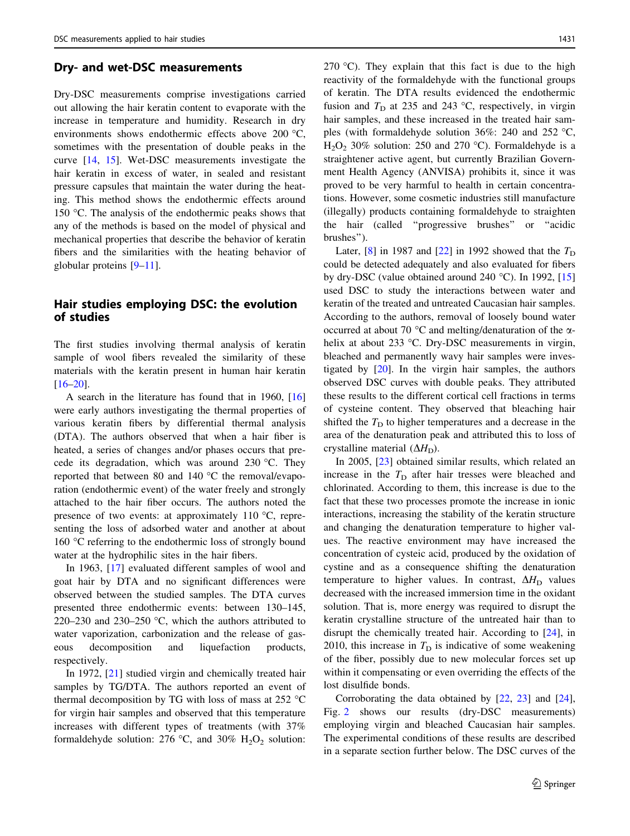#### Dry- and wet-DSC measurements

Dry-DSC measurements comprise investigations carried out allowing the hair keratin content to evaporate with the increase in temperature and humidity. Research in dry environments shows endothermic effects above 200 °C, sometimes with the presentation of double peaks in the curve [[14,](#page-7-0) [15\]](#page-7-0). Wet-DSC measurements investigate the hair keratin in excess of water, in sealed and resistant pressure capsules that maintain the water during the heating. This method shows the endothermic effects around 150  $\degree$ C. The analysis of the endothermic peaks shows that any of the methods is based on the model of physical and mechanical properties that describe the behavior of keratin fibers and the similarities with the heating behavior of globular proteins [[9–11\]](#page-7-0).

## Hair studies employing DSC: the evolution of studies

The first studies involving thermal analysis of keratin sample of wool fibers revealed the similarity of these materials with the keratin present in human hair keratin  $[16–20]$  $[16–20]$ .

A search in the literature has found that in 1960, [[16\]](#page-7-0) were early authors investigating the thermal properties of various keratin fibers by differential thermal analysis (DTA). The authors observed that when a hair fiber is heated, a series of changes and/or phases occurs that precede its degradation, which was around  $230$  °C. They reported that between 80 and 140  $^{\circ}$ C the removal/evaporation (endothermic event) of the water freely and strongly attached to the hair fiber occurs. The authors noted the presence of two events: at approximately 110  $\degree$ C, representing the loss of adsorbed water and another at about 160  $\degree$ C referring to the endothermic loss of strongly bound water at the hydrophilic sites in the hair fibers.

In 1963, [\[17](#page-7-0)] evaluated different samples of wool and goat hair by DTA and no significant differences were observed between the studied samples. The DTA curves presented three endothermic events: between 130–145, 220–230 and 230–250  $\degree$ C, which the authors attributed to water vaporization, carbonization and the release of gaseous decomposition and liquefaction products, respectively.

In 1972, [[21\]](#page-7-0) studied virgin and chemically treated hair samples by TG/DTA. The authors reported an event of thermal decomposition by TG with loss of mass at 252  $^{\circ}$ C for virgin hair samples and observed that this temperature increases with different types of treatments (with 37% formaldehyde solution: 276 °C, and 30%  $H_2O_2$  solution:

270 °C). They explain that this fact is due to the high reactivity of the formaldehyde with the functional groups of keratin. The DTA results evidenced the endothermic fusion and  $T_D$  at 235 and 243 °C, respectively, in virgin hair samples, and these increased in the treated hair samples (with formaldehyde solution 36%: 240 and 252 °C,  $H_2O_2$  30% solution: 250 and 270 °C). Formaldehyde is a straightener active agent, but currently Brazilian Government Health Agency (ANVISA) prohibits it, since it was proved to be very harmful to health in certain concentrations. However, some cosmetic industries still manufacture (illegally) products containing formaldehyde to straighten the hair (called ''progressive brushes'' or ''acidic brushes'').

Later,  $[8]$  $[8]$  in 1987 and  $[22]$  $[22]$  in 1992 showed that the  $T_D$ could be detected adequately and also evaluated for fibers by dry-DSC (value obtained around 240  $^{\circ}$ C). In 1992, [[15\]](#page-7-0) used DSC to study the interactions between water and keratin of the treated and untreated Caucasian hair samples. According to the authors, removal of loosely bound water occurred at about 70  $\degree$ C and melting/denaturation of the  $\alpha$ helix at about  $233$  °C. Dry-DSC measurements in virgin, bleached and permanently wavy hair samples were investigated by [[20\]](#page-7-0). In the virgin hair samples, the authors observed DSC curves with double peaks. They attributed these results to the different cortical cell fractions in terms of cysteine content. They observed that bleaching hair shifted the  $T<sub>D</sub>$  to higher temperatures and a decrease in the area of the denaturation peak and attributed this to loss of crystalline material  $(\Delta H_D)$ .

In 2005, [\[23](#page-7-0)] obtained similar results, which related an increase in the  $T_D$  after hair tresses were bleached and chlorinated. According to them, this increase is due to the fact that these two processes promote the increase in ionic interactions, increasing the stability of the keratin structure and changing the denaturation temperature to higher values. The reactive environment may have increased the concentration of cysteic acid, produced by the oxidation of cystine and as a consequence shifting the denaturation temperature to higher values. In contrast,  $\Delta H_{\rm D}$  values decreased with the increased immersion time in the oxidant solution. That is, more energy was required to disrupt the keratin crystalline structure of the untreated hair than to disrupt the chemically treated hair. According to [[24\]](#page-7-0), in 2010, this increase in  $T<sub>D</sub>$  is indicative of some weakening of the fiber, possibly due to new molecular forces set up within it compensating or even overriding the effects of the lost disulfide bonds.

Corroborating the data obtained by [\[22](#page-7-0), [23\]](#page-7-0) and [\[24](#page-7-0)], Fig. [2](#page-3-0) shows our results (dry-DSC measurements) employing virgin and bleached Caucasian hair samples. The experimental conditions of these results are described in a separate section further below. The DSC curves of the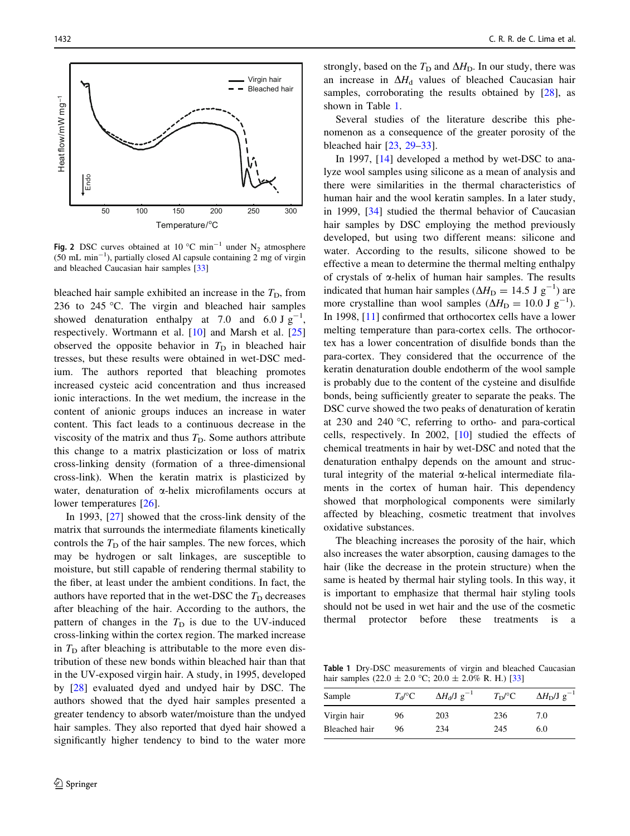<span id="page-3-0"></span>

Fig. 2 DSC curves obtained at 10 °C min<sup>-1</sup> under N<sub>2</sub> atmosphere  $(50 \text{ mL min}^{-1})$ , partially closed Al capsule containing 2 mg of virgin and bleached Caucasian hair samples [[33](#page-7-0)]

bleached hair sample exhibited an increase in the  $T<sub>D</sub>$ , from 236 to 245 °C. The virgin and bleached hair samples showed denaturation enthalpy at 7.0 and 6.0 J  $g^{-1}$ , respectively. Wortmann et al. [[10\]](#page-7-0) and Marsh et al. [[25\]](#page-7-0) observed the opposite behavior in  $T<sub>D</sub>$  in bleached hair tresses, but these results were obtained in wet-DSC medium. The authors reported that bleaching promotes increased cysteic acid concentration and thus increased ionic interactions. In the wet medium, the increase in the content of anionic groups induces an increase in water content. This fact leads to a continuous decrease in the viscosity of the matrix and thus  $T<sub>D</sub>$ . Some authors attribute this change to a matrix plasticization or loss of matrix cross-linking density (formation of a three-dimensional cross-link). When the keratin matrix is plasticized by water, denaturation of  $\alpha$ -helix microfilaments occurs at lower temperatures [[26\]](#page-7-0).

In 1993, [[27\]](#page-7-0) showed that the cross-link density of the matrix that surrounds the intermediate filaments kinetically controls the  $T_D$  of the hair samples. The new forces, which may be hydrogen or salt linkages, are susceptible to moisture, but still capable of rendering thermal stability to the fiber, at least under the ambient conditions. In fact, the authors have reported that in the wet-DSC the  $T_D$  decreases after bleaching of the hair. According to the authors, the pattern of changes in the  $T<sub>D</sub>$  is due to the UV-induced cross-linking within the cortex region. The marked increase in  $T<sub>D</sub>$  after bleaching is attributable to the more even distribution of these new bonds within bleached hair than that in the UV-exposed virgin hair. A study, in 1995, developed by [[28](#page-7-0)] evaluated dyed and undyed hair by DSC. The authors showed that the dyed hair samples presented a greater tendency to absorb water/moisture than the undyed hair samples. They also reported that dyed hair showed a significantly higher tendency to bind to the water more

strongly, based on the  $T_D$  and  $\Delta H_D$ . In our study, there was an increase in  $\Delta H_d$  values of bleached Caucasian hair samples, corroborating the results obtained by [[28\]](#page-7-0), as shown in Table 1.

Several studies of the literature describe this phenomenon as a consequence of the greater porosity of the bleached hair [\[23](#page-7-0), [29–33](#page-7-0)].

In 1997, [[14\]](#page-7-0) developed a method by wet-DSC to analyze wool samples using silicone as a mean of analysis and there were similarities in the thermal characteristics of human hair and the wool keratin samples. In a later study, in 1999, [\[34](#page-7-0)] studied the thermal behavior of Caucasian hair samples by DSC employing the method previously developed, but using two different means: silicone and water. According to the results, silicone showed to be effective a mean to determine the thermal melting enthalpy of crystals of a-helix of human hair samples. The results indicated that human hair samples ( $\Delta H_D = 14.5$  J g<sup>-1</sup>) are more crystalline than wool samples  $(\Delta H_D = 10.0 \text{ J g}^{-1})$ . In 1998, [[11\]](#page-7-0) confirmed that orthocortex cells have a lower melting temperature than para-cortex cells. The orthocortex has a lower concentration of disulfide bonds than the para-cortex. They considered that the occurrence of the keratin denaturation double endotherm of the wool sample is probably due to the content of the cysteine and disulfide bonds, being sufficiently greater to separate the peaks. The DSC curve showed the two peaks of denaturation of keratin at 230 and 240  $^{\circ}$ C, referring to ortho- and para-cortical cells, respectively. In 2002, [\[10](#page-7-0)] studied the effects of chemical treatments in hair by wet-DSC and noted that the denaturation enthalpy depends on the amount and structural integrity of the material  $\alpha$ -helical intermediate filaments in the cortex of human hair. This dependency showed that morphological components were similarly affected by bleaching, cosmetic treatment that involves oxidative substances.

The bleaching increases the porosity of the hair, which also increases the water absorption, causing damages to the hair (like the decrease in the protein structure) when the same is heated by thermal hair styling tools. In this way, it is important to emphasize that thermal hair styling tools should not be used in wet hair and the use of the cosmetic thermal protector before these treatments is a

Table 1 Dry-DSC measurements of virgin and bleached Caucasian hair samples (22.0  $\pm$  2.0 °C; 20.0  $\pm$  2.0% R. H.) [[33](#page-7-0)]

| Sample        | $T_A$ /°C | $\Delta H_d$ /J g <sup>-1</sup> | $T_D{}^{\circ}C$ | $\Delta H_{\rm D} / J$ g <sup>-1</sup> |
|---------------|-----------|---------------------------------|------------------|----------------------------------------|
| Virgin hair   | 96        | 203                             | 236              | 7.0                                    |
| Bleached hair | 96        | 234                             | 245              | 6.0                                    |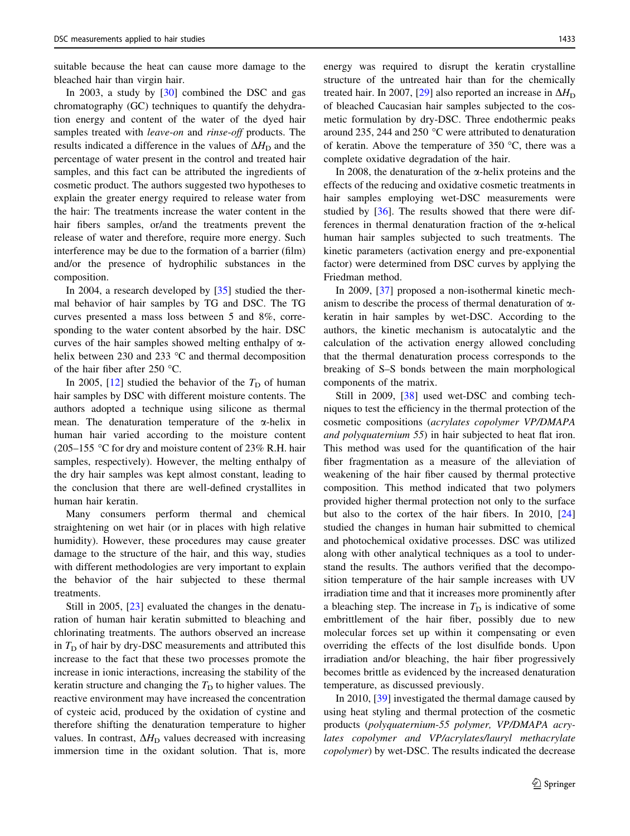suitable because the heat can cause more damage to the bleached hair than virgin hair.

In 2003, a study by  $[30]$  $[30]$  combined the DSC and gas chromatography (GC) techniques to quantify the dehydration energy and content of the water of the dyed hair samples treated with *leave-on* and *rinse-off* products. The results indicated a difference in the values of  $\Delta H_D$  and the percentage of water present in the control and treated hair samples, and this fact can be attributed the ingredients of cosmetic product. The authors suggested two hypotheses to explain the greater energy required to release water from the hair: The treatments increase the water content in the hair fibers samples, or/and the treatments prevent the release of water and therefore, require more energy. Such interference may be due to the formation of a barrier (film) and/or the presence of hydrophilic substances in the composition.

In 2004, a research developed by [[35\]](#page-7-0) studied the thermal behavior of hair samples by TG and DSC. The TG curves presented a mass loss between 5 and 8%, corresponding to the water content absorbed by the hair. DSC curves of the hair samples showed melting enthalpy of  $\alpha$ helix between 230 and 233  $\degree$ C and thermal decomposition of the hair fiber after 250 °C.

In 2005, [[12\]](#page-7-0) studied the behavior of the  $T_D$  of human hair samples by DSC with different moisture contents. The authors adopted a technique using silicone as thermal mean. The denaturation temperature of the  $\alpha$ -helix in human hair varied according to the moisture content (205–155 °C for dry and moisture content of 23% R.H. hair samples, respectively). However, the melting enthalpy of the dry hair samples was kept almost constant, leading to the conclusion that there are well-defined crystallites in human hair keratin.

Many consumers perform thermal and chemical straightening on wet hair (or in places with high relative humidity). However, these procedures may cause greater damage to the structure of the hair, and this way, studies with different methodologies are very important to explain the behavior of the hair subjected to these thermal treatments.

Still in 2005, [[23\]](#page-7-0) evaluated the changes in the denaturation of human hair keratin submitted to bleaching and chlorinating treatments. The authors observed an increase in  $T_D$  of hair by dry-DSC measurements and attributed this increase to the fact that these two processes promote the increase in ionic interactions, increasing the stability of the keratin structure and changing the  $T<sub>D</sub>$  to higher values. The reactive environment may have increased the concentration of cysteic acid, produced by the oxidation of cystine and therefore shifting the denaturation temperature to higher values. In contrast,  $\Delta H_D$  values decreased with increasing immersion time in the oxidant solution. That is, more energy was required to disrupt the keratin crystalline structure of the untreated hair than for the chemically treated hair. In 2007, [\[29](#page-7-0)] also reported an increase in  $\Delta H_D$ of bleached Caucasian hair samples subjected to the cosmetic formulation by dry-DSC. Three endothermic peaks around 235, 244 and 250  $^{\circ}$ C were attributed to denaturation of keratin. Above the temperature of 350  $\degree$ C, there was a complete oxidative degradation of the hair.

In 2008, the denaturation of the  $\alpha$ -helix proteins and the effects of the reducing and oxidative cosmetic treatments in hair samples employing wet-DSC measurements were studied by [[36\]](#page-7-0). The results showed that there were differences in thermal denaturation fraction of the  $\alpha$ -helical human hair samples subjected to such treatments. The kinetic parameters (activation energy and pre-exponential factor) were determined from DSC curves by applying the Friedman method.

In 2009, [[37\]](#page-7-0) proposed a non-isothermal kinetic mechanism to describe the process of thermal denaturation of  $\alpha$ keratin in hair samples by wet-DSC. According to the authors, the kinetic mechanism is autocatalytic and the calculation of the activation energy allowed concluding that the thermal denaturation process corresponds to the breaking of S–S bonds between the main morphological components of the matrix.

Still in 2009, [\[38](#page-7-0)] used wet-DSC and combing techniques to test the efficiency in the thermal protection of the cosmetic compositions (acrylates copolymer VP/DMAPA and polyquaternium 55) in hair subjected to heat flat iron. This method was used for the quantification of the hair fiber fragmentation as a measure of the alleviation of weakening of the hair fiber caused by thermal protective composition. This method indicated that two polymers provided higher thermal protection not only to the surface but also to the cortex of the hair fibers. In 2010, [[24\]](#page-7-0) studied the changes in human hair submitted to chemical and photochemical oxidative processes. DSC was utilized along with other analytical techniques as a tool to understand the results. The authors verified that the decomposition temperature of the hair sample increases with UV irradiation time and that it increases more prominently after a bleaching step. The increase in  $T<sub>D</sub>$  is indicative of some embrittlement of the hair fiber, possibly due to new molecular forces set up within it compensating or even overriding the effects of the lost disulfide bonds. Upon irradiation and/or bleaching, the hair fiber progressively becomes brittle as evidenced by the increased denaturation temperature, as discussed previously.

In 2010, [\[39](#page-7-0)] investigated the thermal damage caused by using heat styling and thermal protection of the cosmetic products (polyquaternium-55 polymer, VP/DMAPA acrylates copolymer and VP/acrylates/lauryl methacrylate copolymer) by wet-DSC. The results indicated the decrease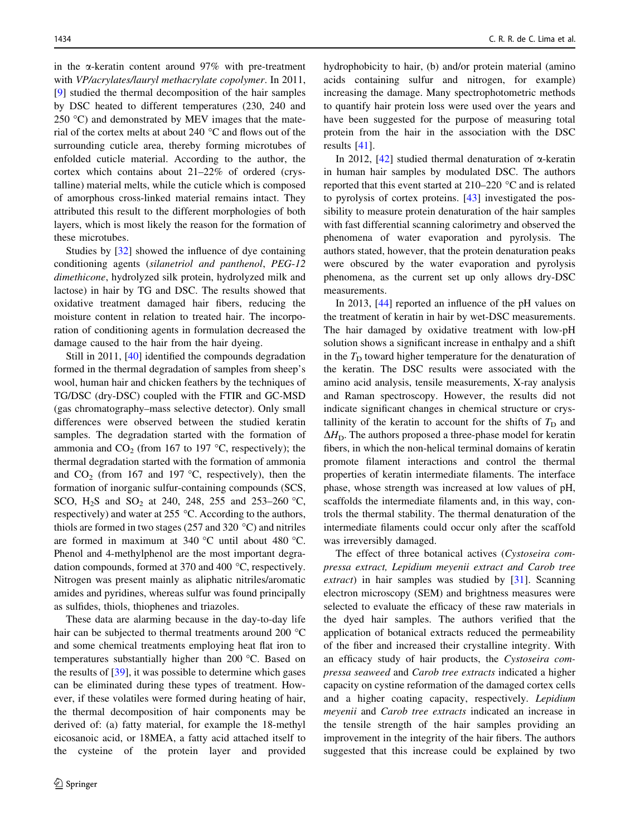in the  $\alpha$ -keratin content around 97% with pre-treatment with VP/acrylates/lauryl methacrylate copolymer. In 2011, [\[9](#page-7-0)] studied the thermal decomposition of the hair samples by DSC heated to different temperatures (230, 240 and  $250 \degree C$ ) and demonstrated by MEV images that the material of the cortex melts at about 240  $^{\circ}$ C and flows out of the surrounding cuticle area, thereby forming microtubes of enfolded cuticle material. According to the author, the cortex which contains about 21–22% of ordered (crystalline) material melts, while the cuticle which is composed of amorphous cross-linked material remains intact. They attributed this result to the different morphologies of both layers, which is most likely the reason for the formation of these microtubes.

Studies by [[32\]](#page-7-0) showed the influence of dye containing conditioning agents (silanetriol and panthenol, PEG-12 dimethicone, hydrolyzed silk protein, hydrolyzed milk and lactose) in hair by TG and DSC. The results showed that oxidative treatment damaged hair fibers, reducing the moisture content in relation to treated hair. The incorporation of conditioning agents in formulation decreased the damage caused to the hair from the hair dyeing.

Still in 2011, [\[40](#page-7-0)] identified the compounds degradation formed in the thermal degradation of samples from sheep's wool, human hair and chicken feathers by the techniques of TG/DSC (dry-DSC) coupled with the FTIR and GC-MSD (gas chromatography–mass selective detector). Only small differences were observed between the studied keratin samples. The degradation started with the formation of ammonia and  $CO<sub>2</sub>$  (from 167 to 197 °C, respectively); the thermal degradation started with the formation of ammonia and  $CO<sub>2</sub>$  (from 167 and 197 °C, respectively), then the formation of inorganic sulfur-containing compounds (SCS, SCO, H<sub>2</sub>S and SO<sub>2</sub> at 240, 248, 255 and 253–260 °C, respectively) and water at  $255^{\circ}$ C. According to the authors, thiols are formed in two stages (257 and 320  $^{\circ}$ C) and nitriles are formed in maximum at 340  $^{\circ}$ C until about 480  $^{\circ}$ C. Phenol and 4-methylphenol are the most important degradation compounds, formed at 370 and 400  $^{\circ}$ C, respectively. Nitrogen was present mainly as aliphatic nitriles/aromatic amides and pyridines, whereas sulfur was found principally as sulfides, thiols, thiophenes and triazoles.

These data are alarming because in the day-to-day life hair can be subjected to thermal treatments around 200  $^{\circ}$ C and some chemical treatments employing heat flat iron to temperatures substantially higher than 200 °C. Based on the results of [\[39](#page-7-0)], it was possible to determine which gases can be eliminated during these types of treatment. However, if these volatiles were formed during heating of hair, the thermal decomposition of hair components may be derived of: (a) fatty material, for example the 18-methyl eicosanoic acid, or 18MEA, a fatty acid attached itself to the cysteine of the protein layer and provided hydrophobicity to hair, (b) and/or protein material (amino acids containing sulfur and nitrogen, for example) increasing the damage. Many spectrophotometric methods to quantify hair protein loss were used over the years and have been suggested for the purpose of measuring total protein from the hair in the association with the DSC results [[41\]](#page-8-0).

In 2012,  $[42]$  $[42]$  studied thermal denaturation of  $\alpha$ -keratin in human hair samples by modulated DSC. The authors reported that this event started at  $210-220$  °C and is related to pyrolysis of cortex proteins. [\[43](#page-8-0)] investigated the possibility to measure protein denaturation of the hair samples with fast differential scanning calorimetry and observed the phenomena of water evaporation and pyrolysis. The authors stated, however, that the protein denaturation peaks were obscured by the water evaporation and pyrolysis phenomena, as the current set up only allows dry-DSC measurements.

In 2013, [[44\]](#page-8-0) reported an influence of the pH values on the treatment of keratin in hair by wet-DSC measurements. The hair damaged by oxidative treatment with low-pH solution shows a significant increase in enthalpy and a shift in the  $T<sub>D</sub>$  toward higher temperature for the denaturation of the keratin. The DSC results were associated with the amino acid analysis, tensile measurements, X-ray analysis and Raman spectroscopy. However, the results did not indicate significant changes in chemical structure or crystallinity of the keratin to account for the shifts of  $T_D$  and  $\Delta H_{\rm D}$ . The authors proposed a three-phase model for keratin fibers, in which the non-helical terminal domains of keratin promote filament interactions and control the thermal properties of keratin intermediate filaments. The interface phase, whose strength was increased at low values of pH, scaffolds the intermediate filaments and, in this way, controls the thermal stability. The thermal denaturation of the intermediate filaments could occur only after the scaffold was irreversibly damaged.

The effect of three botanical actives (Cystoseira compressa extract, Lepidium meyenii extract and Carob tree extract) in hair samples was studied by [\[31](#page-7-0)]. Scanning electron microscopy (SEM) and brightness measures were selected to evaluate the efficacy of these raw materials in the dyed hair samples. The authors verified that the application of botanical extracts reduced the permeability of the fiber and increased their crystalline integrity. With an efficacy study of hair products, the Cystoseira compressa seaweed and Carob tree extracts indicated a higher capacity on cystine reformation of the damaged cortex cells and a higher coating capacity, respectively. Lepidium meyenii and Carob tree extracts indicated an increase in the tensile strength of the hair samples providing an improvement in the integrity of the hair fibers. The authors suggested that this increase could be explained by two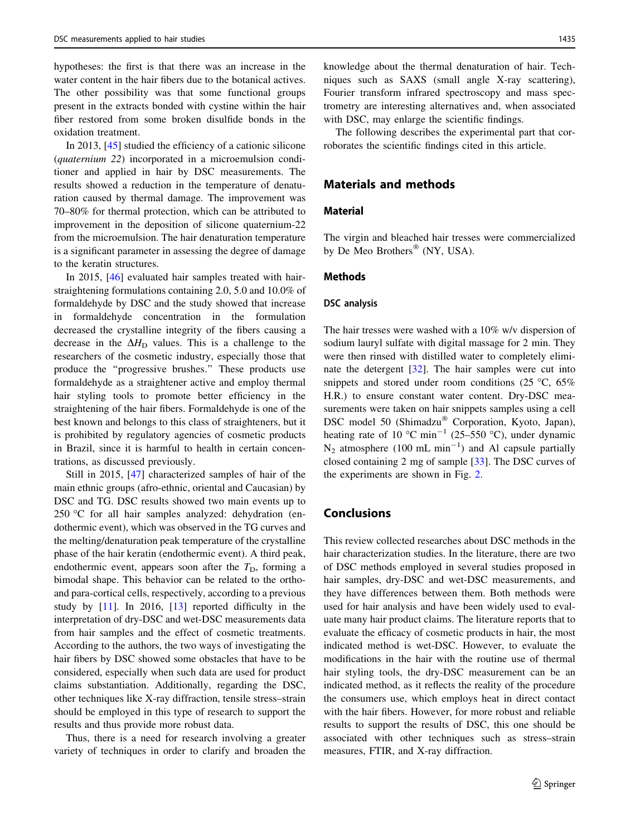hypotheses: the first is that there was an increase in the water content in the hair fibers due to the botanical actives. The other possibility was that some functional groups present in the extracts bonded with cystine within the hair fiber restored from some broken disulfide bonds in the oxidation treatment.

In 2013, [[45\]](#page-8-0) studied the efficiency of a cationic silicone (quaternium 22) incorporated in a microemulsion conditioner and applied in hair by DSC measurements. The results showed a reduction in the temperature of denaturation caused by thermal damage. The improvement was 70–80% for thermal protection, which can be attributed to improvement in the deposition of silicone quaternium-22 from the microemulsion. The hair denaturation temperature is a significant parameter in assessing the degree of damage to the keratin structures.

In 2015, [[46\]](#page-8-0) evaluated hair samples treated with hairstraightening formulations containing 2.0, 5.0 and 10.0% of formaldehyde by DSC and the study showed that increase in formaldehyde concentration in the formulation decreased the crystalline integrity of the fibers causing a decrease in the  $\Delta H_{\rm D}$  values. This is a challenge to the researchers of the cosmetic industry, especially those that produce the ''progressive brushes.'' These products use formaldehyde as a straightener active and employ thermal hair styling tools to promote better efficiency in the straightening of the hair fibers. Formaldehyde is one of the best known and belongs to this class of straighteners, but it is prohibited by regulatory agencies of cosmetic products in Brazil, since it is harmful to health in certain concentrations, as discussed previously.

Still in 2015, [[47\]](#page-8-0) characterized samples of hair of the main ethnic groups (afro-ethnic, oriental and Caucasian) by DSC and TG. DSC results showed two main events up to  $250 \degree$ C for all hair samples analyzed: dehydration (endothermic event), which was observed in the TG curves and the melting/denaturation peak temperature of the crystalline phase of the hair keratin (endothermic event). A third peak, endothermic event, appears soon after the  $T<sub>D</sub>$ , forming a bimodal shape. This behavior can be related to the orthoand para-cortical cells, respectively, according to a previous study by [\[11](#page-7-0)]. In 2016, [[13\]](#page-7-0) reported difficulty in the interpretation of dry-DSC and wet-DSC measurements data from hair samples and the effect of cosmetic treatments. According to the authors, the two ways of investigating the hair fibers by DSC showed some obstacles that have to be considered, especially when such data are used for product claims substantiation. Additionally, regarding the DSC, other techniques like X-ray diffraction, tensile stress–strain should be employed in this type of research to support the results and thus provide more robust data.

Thus, there is a need for research involving a greater variety of techniques in order to clarify and broaden the

knowledge about the thermal denaturation of hair. Techniques such as SAXS (small angle X-ray scattering), Fourier transform infrared spectroscopy and mass spectrometry are interesting alternatives and, when associated with DSC, may enlarge the scientific findings.

The following describes the experimental part that corroborates the scientific findings cited in this article.

## Materials and methods

#### Material

The virgin and bleached hair tresses were commercialized by De Meo Brothers<sup>®</sup> (NY, USA).

### Methods

#### DSC analysis

The hair tresses were washed with a 10% w/v dispersion of sodium lauryl sulfate with digital massage for 2 min. They were then rinsed with distilled water to completely eliminate the detergent  $[32]$  $[32]$ . The hair samples were cut into snippets and stored under room conditions (25 °C, 65%) H.R.) to ensure constant water content. Dry-DSC measurements were taken on hair snippets samples using a cell DSC model 50 (Shimadzu® Corporation, Kyoto, Japan), heating rate of 10 °C min<sup>-1</sup> (25–550 °C), under dynamic  $N_2$  atmosphere (100 mL min<sup>-1</sup>) and Al capsule partially closed containing 2 mg of sample [\[33](#page-7-0)]. The DSC curves of the experiments are shown in Fig. [2](#page-3-0).

## Conclusions

This review collected researches about DSC methods in the hair characterization studies. In the literature, there are two of DSC methods employed in several studies proposed in hair samples, dry-DSC and wet-DSC measurements, and they have differences between them. Both methods were used for hair analysis and have been widely used to evaluate many hair product claims. The literature reports that to evaluate the efficacy of cosmetic products in hair, the most indicated method is wet-DSC. However, to evaluate the modifications in the hair with the routine use of thermal hair styling tools, the dry-DSC measurement can be an indicated method, as it reflects the reality of the procedure the consumers use, which employs heat in direct contact with the hair fibers. However, for more robust and reliable results to support the results of DSC, this one should be associated with other techniques such as stress–strain measures, FTIR, and X-ray diffraction.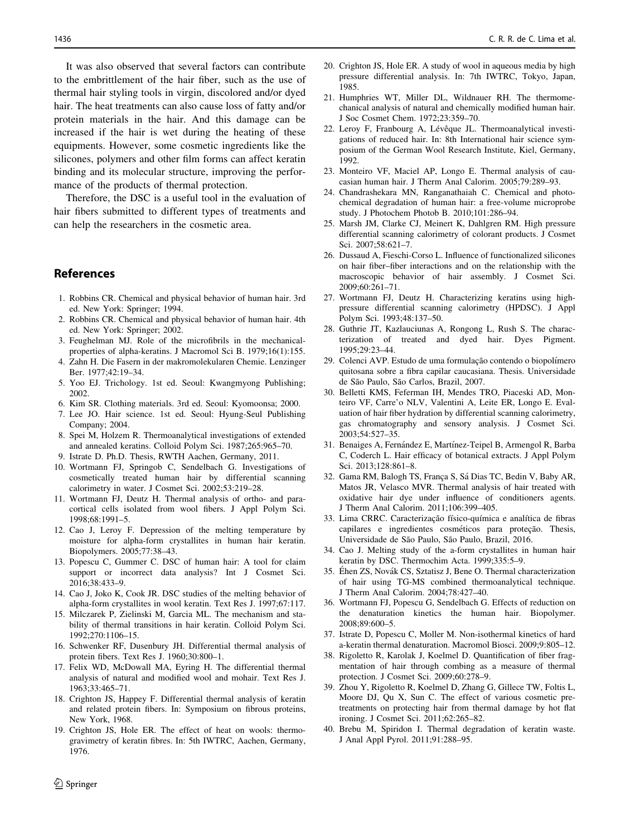<span id="page-7-0"></span>It was also observed that several factors can contribute to the embrittlement of the hair fiber, such as the use of thermal hair styling tools in virgin, discolored and/or dyed hair. The heat treatments can also cause loss of fatty and/or protein materials in the hair. And this damage can be increased if the hair is wet during the heating of these equipments. However, some cosmetic ingredients like the silicones, polymers and other film forms can affect keratin binding and its molecular structure, improving the performance of the products of thermal protection.

Therefore, the DSC is a useful tool in the evaluation of hair fibers submitted to different types of treatments and can help the researchers in the cosmetic area.

## References

- 1. Robbins CR. Chemical and physical behavior of human hair. 3rd ed. New York: Springer; 1994.
- 2. Robbins CR. Chemical and physical behavior of human hair. 4th ed. New York: Springer; 2002.
- 3. Feughelman MJ. Role of the microfibrils in the mechanicalproperties of alpha-keratins. J Macromol Sci B. 1979;16(1):155.
- 4. Zahn H. Die Fasern in der makromolekularen Chemie. Lenzinger Ber. 1977;42:19–34.
- 5. Yoo EJ. Trichology. 1st ed. Seoul: Kwangmyong Publishing; 2002.
- 6. Kim SR. Clothing materials. 3rd ed. Seoul: Kyomoonsa; 2000.
- 7. Lee JO. Hair science. 1st ed. Seoul: Hyung-Seul Publishing Company; 2004.
- 8. Spei M, Holzem R. Thermoanalytical investigations of extended and annealed keratins. Colloid Polym Sci. 1987;265:965–70.
- 9. Istrate D. Ph.D. Thesis, RWTH Aachen, Germany, 2011.
- 10. Wortmann FJ, Springob C, Sendelbach G. Investigations of cosmetically treated human hair by differential scanning calorimetry in water. J Cosmet Sci. 2002;53:219–28.
- 11. Wortmann FJ, Deutz H. Thermal analysis of ortho- and paracortical cells isolated from wool fibers. J Appl Polym Sci. 1998;68:1991–5.
- 12. Cao J, Leroy F. Depression of the melting temperature by moisture for alpha-form crystallites in human hair keratin. Biopolymers. 2005;77:38–43.
- 13. Popescu C, Gummer C. DSC of human hair: A tool for claim support or incorrect data analysis? Int J Cosmet Sci. 2016;38:433–9.
- 14. Cao J, Joko K, Cook JR. DSC studies of the melting behavior of alpha-form crystallites in wool keratin. Text Res J. 1997;67:117.
- 15. Milczarek P, Zielinski M, Garcia ML. The mechanism and stability of thermal transitions in hair keratin. Colloid Polym Sci. 1992;270:1106–15.
- 16. Schwenker RF, Dusenbury JH. Differential thermal analysis of protein fibers. Text Res J. 1960;30:800–1.
- 17. Felix WD, McDowall MA, Eyring H. The differential thermal analysis of natural and modified wool and mohair. Text Res J. 1963;33:465–71.
- 18. Crighton JS, Happey F. Differential thermal analysis of keratin and related protein fibers. In: Symposium on fibrous proteins, New York, 1968.
- 19. Crighton JS, Hole ER. The effect of heat on wools: thermogravimetry of keratin fibres. In: 5th IWTRC, Aachen, Germany, 1976.
- 20. Crighton JS, Hole ER. A study of wool in aqueous media by high pressure differential analysis. In: 7th IWTRC, Tokyo, Japan, 1985.
- 21. Humphries WT, Miller DL, Wildnauer RH. The thermomechanical analysis of natural and chemically modified human hair. J Soc Cosmet Chem. 1972;23:359–70.
- 22. Leroy F, Franbourg A, Lévêque JL. Thermoanalytical investigations of reduced hair. In: 8th International hair science symposium of the German Wool Research Institute, Kiel, Germany, 1992.
- 23. Monteiro VF, Maciel AP, Longo E. Thermal analysis of caucasian human hair. J Therm Anal Calorim. 2005;79:289–93.
- 24. Chandrashekara MN, Ranganathaiah C. Chemical and photochemical degradation of human hair: a free-volume microprobe study. J Photochem Photob B. 2010;101:286–94.
- 25. Marsh JM, Clarke CJ, Meinert K, Dahlgren RM. High pressure differential scanning calorimetry of colorant products. J Cosmet Sci. 2007;58:621–7.
- 26. Dussaud A, Fieschi-Corso L. Influence of functionalized silicones on hair fiber–fiber interactions and on the relationship with the macroscopic behavior of hair assembly. J Cosmet Sci. 2009;60:261–71.
- 27. Wortmann FJ, Deutz H. Characterizing keratins using highpressure differential scanning calorimetry (HPDSC). J Appl Polym Sci. 1993;48:137–50.
- 28. Guthrie JT, Kazlauciunas A, Rongong L, Rush S. The characterization of treated and dyed hair. Dyes Pigment. 1995;29:23–44.
- 29. Colenci AVP. Estudo de uma formulação contendo o biopolímero quitosana sobre a fibra capilar caucasiana. Thesis. Universidade de São Paulo, São Carlos, Brazil, 2007.
- 30. Belletti KMS, Feferman IH, Mendes TRO, Piaceski AD, Monteiro VF, Carre'o NLV, Valentini A, Leite ER, Longo E. Evaluation of hair fiber hydration by differential scanning calorimetry, gas chromatography and sensory analysis. J Cosmet Sci. 2003;54:527–35.
- 31. Benaiges A, Fernández E, Martínez-Teipel B, Armengol R, Barba C, Coderch L. Hair efficacy of botanical extracts. J Appl Polym Sci. 2013;128:861–8.
- 32. Gama RM, Balogh TS, França S, Sá Dias TC, Bedin V, Baby AR, Matos JR, Velasco MVR. Thermal analysis of hair treated with oxidative hair dye under influence of conditioners agents. J Therm Anal Calorim. 2011;106:399–405.
- 33. Lima CRRC. Caracterização físico-química e analítica de fibras capilares e ingredientes cosméticos para proteção. Thesis, Universidade de São Paulo, São Paulo, Brazil, 2016.
- 34. Cao J. Melting study of the a-form crystallites in human hair keratin by DSC. Thermochim Acta. 1999;335:5–9.
- 35. Éhen ZS, Novák CS, Sztatisz J, Bene O. Thermal characterization of hair using TG-MS combined thermoanalytical technique. J Therm Anal Calorim. 2004;78:427–40.
- 36. Wortmann FJ, Popescu G, Sendelbach G. Effects of reduction on the denaturation kinetics the human hair. Biopolymer. 2008;89:600–5.
- 37. Istrate D, Popescu C, Moller M. Non-isothermal kinetics of hard a-keratin thermal denaturation. Macromol Biosci. 2009;9:805–12.
- 38. Rigoletto R, Karolak J, Koelmel D. Quantification of fiber fragmentation of hair through combing as a measure of thermal protection. J Cosmet Sci. 2009;60:278–9.
- 39. Zhou Y, Rigoletto R, Koelmel D, Zhang G, Gillece TW, Foltis L, Moore DJ, Qu X, Sun C. The effect of various cosmetic pretreatments on protecting hair from thermal damage by hot flat ironing. J Cosmet Sci. 2011;62:265–82.
- 40. Brebu M, Spiridon I. Thermal degradation of keratin waste. J Anal Appl Pyrol. 2011;91:288–95.